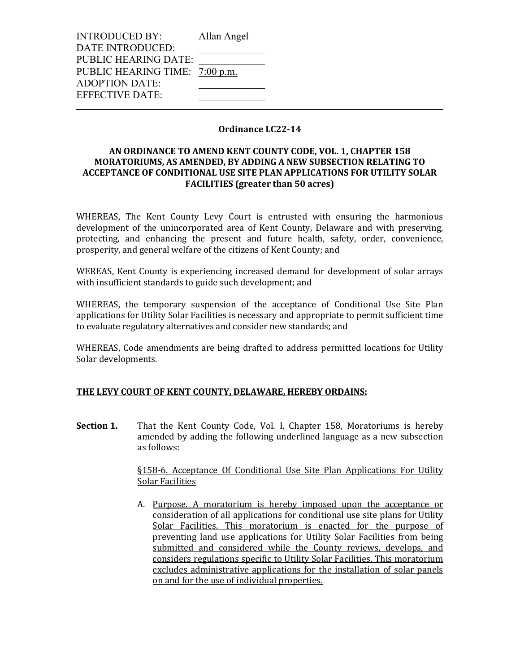| <b>INTRODUCED BY:</b>          | Allan Angel |
|--------------------------------|-------------|
| DATE INTRODUCED:               |             |
| <b>PUBLIC HEARING DATE:</b>    |             |
| PUBLIC HEARING TIME: 7:00 p.m. |             |
| <b>ADOPTION DATE:</b>          |             |
| EFFECTIVE DATE:                |             |
|                                |             |

### **Ordinance LC22-14**

# **AN ORDINANCE TO AMEND KENT COUNTY CODE, VOL. 1, CHAPTER 158 MORATORIUMS, AS AMENDED, BY ADDING A NEW SUBSECTION RELATING TO ACCEPTANCE OF CONDITIONAL USE SITE PLAN APPLICATIONS FOR UTILITY SOLAR FACILITIES (greater than 50 acres)**

WHEREAS, The Kent County Levy Court is entrusted with ensuring the harmonious development of the unincorporated area of Kent County, Delaware and with preserving, protecting, and enhancing the present and future health, safety, order, convenience, prosperity, and general welfare of the citizens of Kent County; and

WEREAS, Kent County is experiencing increased demand for development of solar arrays with insufficient standards to guide such development; and

WHEREAS, the temporary suspension of the acceptance of Conditional Use Site Plan applications for Utility Solar Facilities is necessary and appropriate to permit sufficient time to evaluate regulatory alternatives and consider new standards; and

WHEREAS, Code amendments are being drafted to address permitted locations for Utility Solar developments.

#### **THE LEVY COURT OF KENT COUNTY, DELAWARE, HEREBY ORDAINS:**

**Section 1.** That the Kent County Code, Vol. I, Chapter 158, Moratoriums is hereby amended by adding the following underlined language as a new subsection as follows:

> §158-6. Acceptance Of Conditional Use Site Plan Applications For Utility Solar Facilities

> A. Purpose. A moratorium is hereby imposed upon the acceptance or consideration of all applications for conditional use site plans for Utility Solar Facilities. This moratorium is enacted for the purpose of preventing land use applications for Utility Solar Facilities from being submitted and considered while the County reviews, develops, and considers regulations specific to Utility Solar Facilities. This moratorium excludes administrative applications for the installation of solar panels on and for the use of individual properties.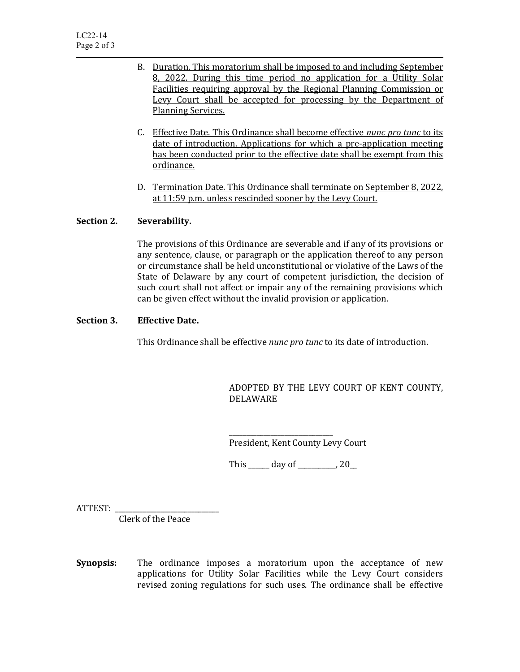- B. Duration. This moratorium shall be imposed to and including September 8, 2022. During this time period no application for a Utility Solar Facilities requiring approval by the Regional Planning Commission or Levy Court shall be accepted for processing by the Department of Planning Services.
- C. Effective Date. This Ordinance shall become effective *nunc pro tunc* to its date of introduction. Applications for which a pre-application meeting has been conducted prior to the effective date shall be exempt from this ordinance.
- D. Termination Date. This Ordinance shall terminate on September 8, 2022, at 11:59 p.m. unless rescinded sooner by the Levy Court.

# **Section 2. Severability.**

The provisions of this Ordinance are severable and if any of its provisions or any sentence, clause, or paragraph or the application thereof to any person or circumstance shall be held unconstitutional or violative of the Laws of the State of Delaware by any court of competent jurisdiction, the decision of such court shall not affect or impair any of the remaining provisions which can be given effect without the invalid provision or application.

#### **Section 3. Effective Date.**

This Ordinance shall be effective *nunc pro tunc* to its date of introduction.

ADOPTED BY THE LEVY COURT OF KENT COUNTY, DELAWARE

\_\_\_\_\_\_\_\_\_\_\_\_\_\_\_\_\_\_\_\_\_\_\_\_\_\_\_\_\_\_ President, Kent County Levy Court

This \_\_\_\_\_\_ day of \_\_\_\_\_\_\_\_\_\_\_, 20\_\_

ATTEST:

Clerk of the Peace

**Synopsis:** The ordinance imposes a moratorium upon the acceptance of new applications for Utility Solar Facilities while the Levy Court considers revised zoning regulations for such uses. The ordinance shall be effective